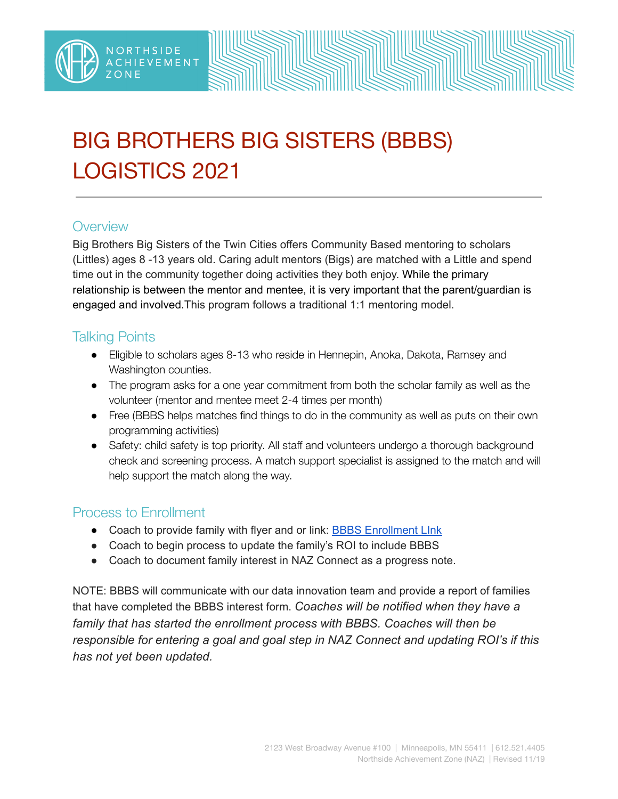

# BIG BROTHERS BIG SISTERS (BBBS) LOGISTICS 2021

#### **Overview**

Big Brothers Big Sisters of the Twin Cities offers Community Based mentoring to scholars (Littles) ages 8 -13 years old. Caring adult mentors (Bigs) are matched with a Little and spend time out in the community together doing activities they both enjoy. While the primary relationship is between the mentor and mentee, it is very important that the parent/guardian is engaged and involved.This program follows a traditional 1:1 mentoring model.

### Talking Points

- Eligible to scholars ages 8-13 who reside in Hennepin, Anoka, Dakota, Ramsey and Washington counties.
- The program asks for a one year commitment from both the scholar family as well as the volunteer (mentor and mentee meet 2-4 times per month)
- Free (BBBS helps matches find things to do in the community as well as puts on their own programming activities)
- Safety: child safety is top priority. All staff and volunteers undergo a thorough background check and screening process. A match support specialist is assigned to the match and will help support the match along the way.

#### Process to Enrollment

- Coach to provide family with flyer and or link: **BBBS [Enrollment](https://www.bigstwincities.org/enroll-a-child/) Link**
- Coach to begin process to update the family's ROI to include BBBS
- Coach to document family interest in NAZ Connect as a progress note.

NOTE: BBBS will communicate with our data innovation team and provide a report of families that have completed the BBBS interest form. *Coaches will be notified when they have a family that has started the enrollment process with BBBS. Coaches will then be responsible for entering a goal and goal step in NAZ Connect and updating ROI's if this has not yet been updated.*